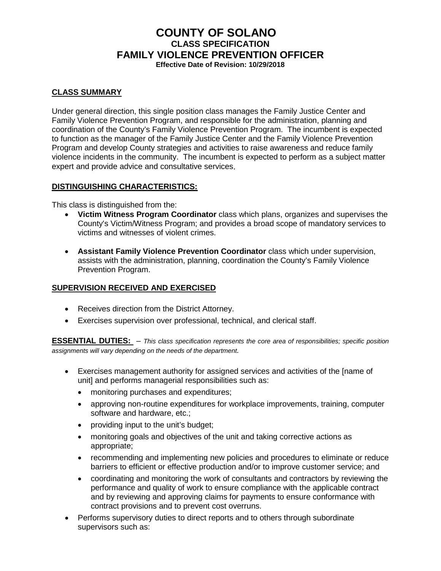# **COUNTY OF SOLANO CLASS SPECIFICATION FAMILY VIOLENCE PREVENTION OFFICER Effective Date of Revision: 10/29/2018**

## **CLASS SUMMARY**

Under general direction, this single position class manages the Family Justice Center and Family Violence Prevention Program, and responsible for the administration, planning and coordination of the County's Family Violence Prevention Program. The incumbent is expected to function as the manager of the Family Justice Center and the Family Violence Prevention Program and develop County strategies and activities to raise awareness and reduce family violence incidents in the community. The incumbent is expected to perform as a subject matter expert and provide advice and consultative services.

#### **DISTINGUISHING CHARACTERISTICS:**

This class is distinguished from the:

- **Victim Witness Program Coordinator** class which plans, organizes and supervises the County's Victim/Witness Program; and provides a broad scope of mandatory services to victims and witnesses of violent crimes.
- **Assistant Family Violence Prevention Coordinator** class which under supervision, assists with the administration, planning, coordination the County's Family Violence Prevention Program.

## **SUPERVISION RECEIVED AND EXERCISED**

- Receives direction from the District Attorney.
- Exercises supervision over professional, technical, and clerical staff.

**ESSENTIAL DUTIES:** *– This class specification represents the core area of responsibilities; specific position assignments will vary depending on the needs of the department.*

- Exercises management authority for assigned services and activities of the [name of unit] and performs managerial responsibilities such as:
	- monitoring purchases and expenditures;
	- approving non-routine expenditures for workplace improvements, training, computer software and hardware, etc.;
	- providing input to the unit's budget;
	- monitoring goals and objectives of the unit and taking corrective actions as appropriate;
	- recommending and implementing new policies and procedures to eliminate or reduce barriers to efficient or effective production and/or to improve customer service; and
	- coordinating and monitoring the work of consultants and contractors by reviewing the performance and quality of work to ensure compliance with the applicable contract and by reviewing and approving claims for payments to ensure conformance with contract provisions and to prevent cost overruns.
- Performs supervisory duties to direct reports and to others through subordinate supervisors such as: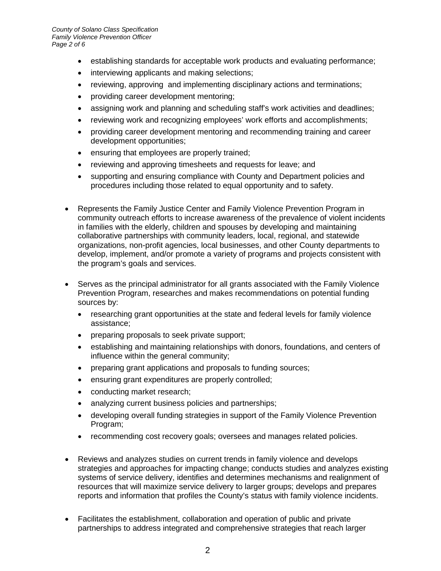- establishing standards for acceptable work products and evaluating performance;
- interviewing applicants and making selections;
- reviewing, approving and implementing disciplinary actions and terminations;
- providing career development mentoring;
- assigning work and planning and scheduling staff's work activities and deadlines;
- reviewing work and recognizing employees' work efforts and accomplishments;
- providing career development mentoring and recommending training and career development opportunities;
- ensuring that employees are properly trained;
- reviewing and approving timesheets and requests for leave; and
- supporting and ensuring compliance with County and Department policies and procedures including those related to equal opportunity and to safety.
- Represents the Family Justice Center and Family Violence Prevention Program in community outreach efforts to increase awareness of the prevalence of violent incidents in families with the elderly, children and spouses by developing and maintaining collaborative partnerships with community leaders, local, regional, and statewide organizations, non-profit agencies, local businesses, and other County departments to develop, implement, and/or promote a variety of programs and projects consistent with the program's goals and services.
- Serves as the principal administrator for all grants associated with the Family Violence Prevention Program, researches and makes recommendations on potential funding sources by:
	- researching grant opportunities at the state and federal levels for family violence assistance;
	- preparing proposals to seek private support;
	- establishing and maintaining relationships with donors, foundations, and centers of influence within the general community;
	- preparing grant applications and proposals to funding sources;
	- ensuring grant expenditures are properly controlled;
	- conducting market research;
	- analyzing current business policies and partnerships;
	- developing overall funding strategies in support of the Family Violence Prevention Program;
	- recommending cost recovery goals; oversees and manages related policies.
- Reviews and analyzes studies on current trends in family violence and develops strategies and approaches for impacting change; conducts studies and analyzes existing systems of service delivery, identifies and determines mechanisms and realignment of resources that will maximize service delivery to larger groups; develops and prepares reports and information that profiles the County's status with family violence incidents.
- Facilitates the establishment, collaboration and operation of public and private partnerships to address integrated and comprehensive strategies that reach larger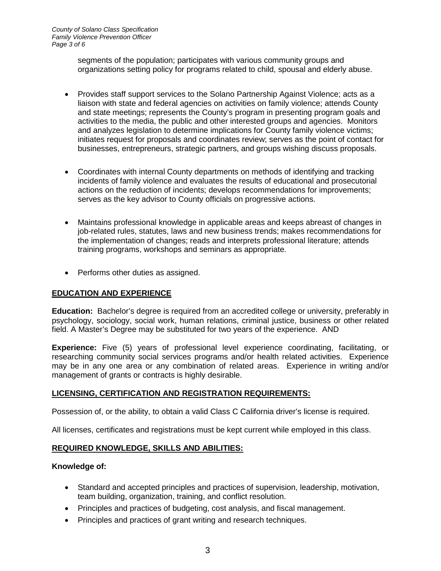segments of the population; participates with various community groups and organizations setting policy for programs related to child, spousal and elderly abuse.

- Provides staff support services to the Solano Partnership Against Violence; acts as a liaison with state and federal agencies on activities on family violence; attends County and state meetings; represents the County's program in presenting program goals and activities to the media, the public and other interested groups and agencies. Monitors and analyzes legislation to determine implications for County family violence victims; initiates request for proposals and coordinates review; serves as the point of contact for businesses, entrepreneurs, strategic partners, and groups wishing discuss proposals.
- Coordinates with internal County departments on methods of identifying and tracking incidents of family violence and evaluates the results of educational and prosecutorial actions on the reduction of incidents; develops recommendations for improvements; serves as the key advisor to County officials on progressive actions.
- Maintains professional knowledge in applicable areas and keeps abreast of changes in job-related rules, statutes, laws and new business trends; makes recommendations for the implementation of changes; reads and interprets professional literature; attends training programs, workshops and seminars as appropriate.
- Performs other duties as assigned.

# **EDUCATION AND EXPERIENCE**

**Education:** Bachelor's degree is required from an accredited college or university, preferably in psychology, sociology, social work, human relations, criminal justice, business or other related field. A Master's Degree may be substituted for two years of the experience. AND

**Experience:** Five (5) years of professional level experience coordinating, facilitating, or researching community social services programs and/or health related activities. Experience may be in any one area or any combination of related areas. Experience in writing and/or management of grants or contracts is highly desirable.

#### **LICENSING, CERTIFICATION AND REGISTRATION REQUIREMENTS:**

Possession of, or the ability, to obtain a valid Class C California driver's license is required.

All licenses, certificates and registrations must be kept current while employed in this class.

#### **REQUIRED KNOWLEDGE, SKILLS AND ABILITIES:**

#### **Knowledge of:**

- Standard and accepted principles and practices of supervision, leadership, motivation, team building, organization, training, and conflict resolution.
- Principles and practices of budgeting, cost analysis, and fiscal management.
- Principles and practices of grant writing and research techniques.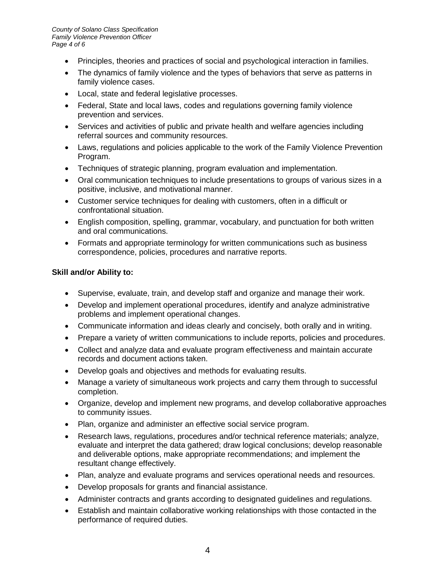- Principles, theories and practices of social and psychological interaction in families.
- The dynamics of family violence and the types of behaviors that serve as patterns in family violence cases.
- Local, state and federal legislative processes.
- Federal, State and local laws, codes and regulations governing family violence prevention and services.
- Services and activities of public and private health and welfare agencies including referral sources and community resources.
- Laws, regulations and policies applicable to the work of the Family Violence Prevention Program.
- Techniques of strategic planning, program evaluation and implementation.
- Oral communication techniques to include presentations to groups of various sizes in a positive, inclusive, and motivational manner.
- Customer service techniques for dealing with customers, often in a difficult or confrontational situation.
- English composition, spelling, grammar, vocabulary, and punctuation for both written and oral communications.
- Formats and appropriate terminology for written communications such as business correspondence, policies, procedures and narrative reports.

### **Skill and/or Ability to:**

- Supervise, evaluate, train, and develop staff and organize and manage their work.
- Develop and implement operational procedures, identify and analyze administrative problems and implement operational changes.
- Communicate information and ideas clearly and concisely, both orally and in writing.
- Prepare a variety of written communications to include reports, policies and procedures.
- Collect and analyze data and evaluate program effectiveness and maintain accurate records and document actions taken.
- Develop goals and objectives and methods for evaluating results.
- Manage a variety of simultaneous work projects and carry them through to successful completion.
- Organize, develop and implement new programs, and develop collaborative approaches to community issues.
- Plan, organize and administer an effective social service program.
- Research laws, regulations, procedures and/or technical reference materials; analyze, evaluate and interpret the data gathered; draw logical conclusions; develop reasonable and deliverable options, make appropriate recommendations; and implement the resultant change effectively.
- Plan, analyze and evaluate programs and services operational needs and resources.
- Develop proposals for grants and financial assistance.
- Administer contracts and grants according to designated guidelines and regulations.
- Establish and maintain collaborative working relationships with those contacted in the performance of required duties.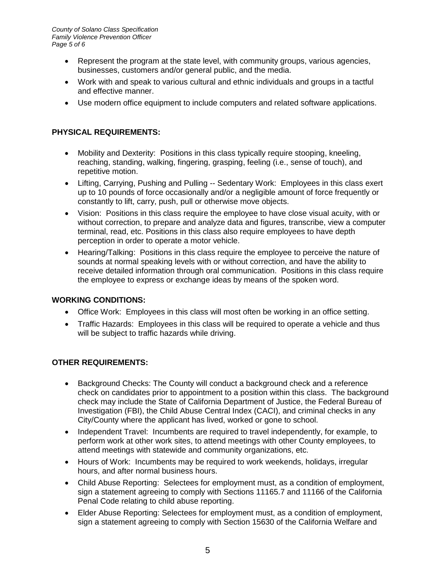- Represent the program at the state level, with community groups, various agencies, businesses, customers and/or general public, and the media.
- Work with and speak to various cultural and ethnic individuals and groups in a tactful and effective manner.
- Use modern office equipment to include computers and related software applications.

# **PHYSICAL REQUIREMENTS:**

- Mobility and Dexterity: Positions in this class typically require stooping, kneeling, reaching, standing, walking, fingering, grasping, feeling (i.e., sense of touch), and repetitive motion.
- Lifting, Carrying, Pushing and Pulling -- Sedentary Work: Employees in this class exert up to 10 pounds of force occasionally and/or a negligible amount of force frequently or constantly to lift, carry, push, pull or otherwise move objects.
- Vision: Positions in this class require the employee to have close visual acuity, with or without correction, to prepare and analyze data and figures, transcribe, view a computer terminal, read, etc. Positions in this class also require employees to have depth perception in order to operate a motor vehicle.
- Hearing/Talking: Positions in this class require the employee to perceive the nature of sounds at normal speaking levels with or without correction, and have the ability to receive detailed information through oral communication. Positions in this class require the employee to express or exchange ideas by means of the spoken word.

#### **WORKING CONDITIONS:**

- Office Work: Employees in this class will most often be working in an office setting.
- Traffic Hazards: Employees in this class will be required to operate a vehicle and thus will be subject to traffic hazards while driving.

#### **OTHER REQUIREMENTS:**

- Background Checks: The County will conduct a background check and a reference check on candidates prior to appointment to a position within this class. The background check may include the State of California Department of Justice, the Federal Bureau of Investigation (FBI), the Child Abuse Central Index (CACI), and criminal checks in any City/County where the applicant has lived, worked or gone to school.
- Independent Travel: Incumbents are required to travel independently, for example, to perform work at other work sites, to attend meetings with other County employees, to attend meetings with statewide and community organizations, etc.
- Hours of Work: Incumbents may be required to work weekends, holidays, irregular hours, and after normal business hours.
- Child Abuse Reporting: Selectees for employment must, as a condition of employment, sign a statement agreeing to comply with Sections 11165.7 and 11166 of the California Penal Code relating to child abuse reporting.
- Elder Abuse Reporting: Selectees for employment must, as a condition of employment, sign a statement agreeing to comply with Section 15630 of the California Welfare and